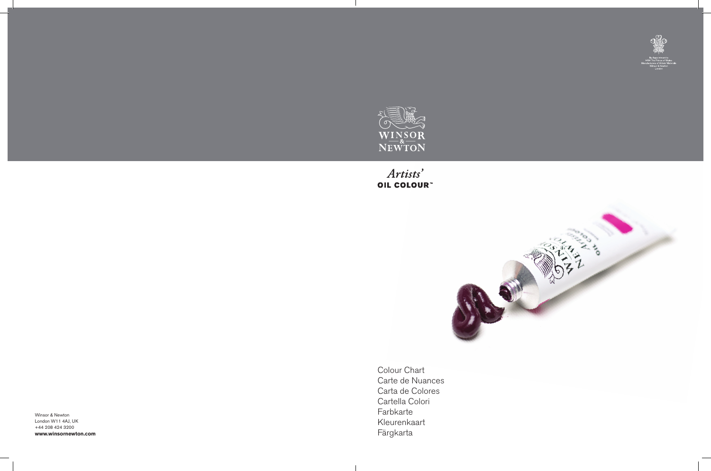

 $\mathcal{L}$ 

## Artists' OIL COLOUR"



Winsor & Newton London W11 4AJ, UK +44 208 424 3200 **www.winsornewton.com**



Colour Chart Carte de Nuances Carta de Colores Cartella Colori Farbkarte Kleurenkaart Färgkarta